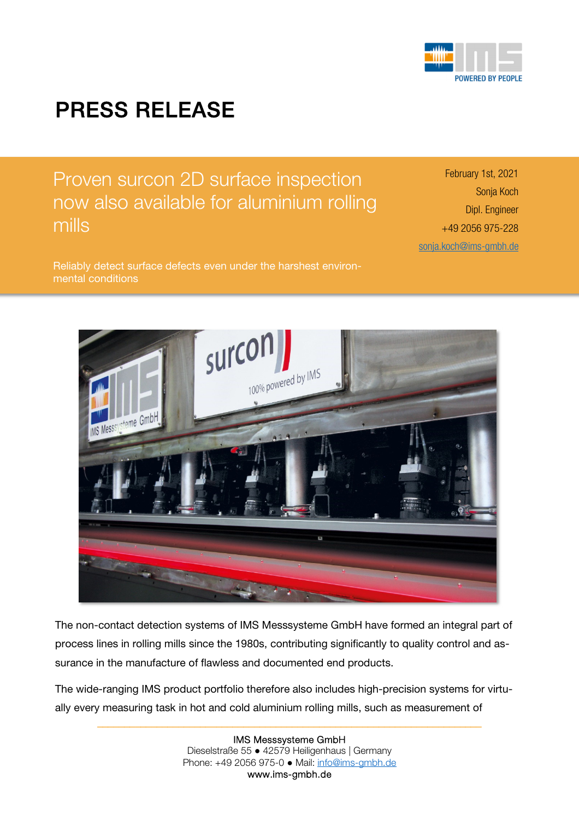

## PRESS RELEASE

Proven surcon 2D surface inspection now also available for aluminium rolling mills

Reliably detect surface defects even under the harshest environmental conditions

February 1st, 2021 Sonja Koch Dipl. Engineer +49 2056 975-228 sonja.koch@ims-gmbh.de



The non-contact detection systems of IMS Messsysteme GmbH have formed an integral part of process lines in rolling mills since the 1980s, contributing significantly to quality control and assurance in the manufacture of flawless and documented end products.

The wide-ranging IMS product portfolio therefore also includes high-precision systems for virtually every measuring task in hot and cold aluminium rolling mills, such as measurement of

> IMS Messsysteme GmbH Dieselstraße 55 ● 42579 Heiligenhaus | Germany Phone: +49 2056 975-0 ● Mail: info@ims-gmbh.de www.ims-gmbh.de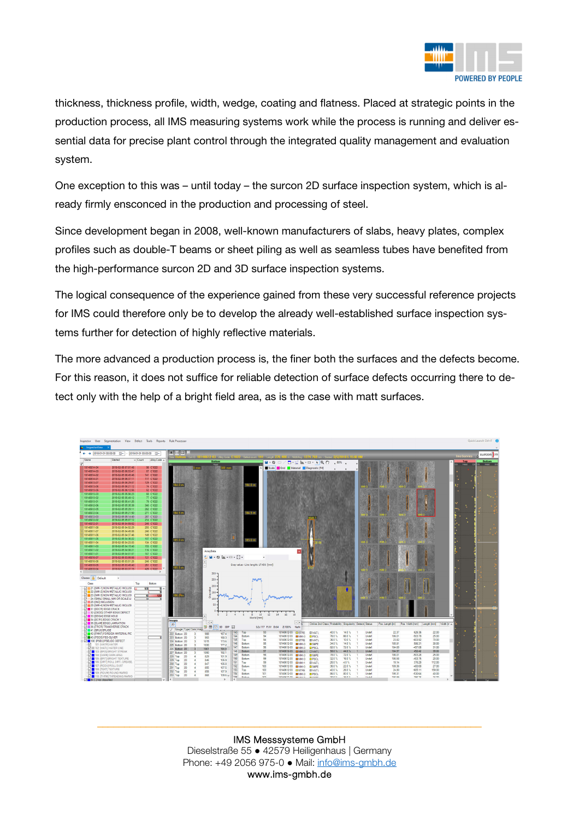

thickness, thickness profile, width, wedge, coating and flatness. Placed at strategic points in the production process, all IMS measuring systems work while the process is running and deliver essential data for precise plant control through the integrated quality management and evaluation system.

One exception to this was – until today – the surcon 2D surface inspection system, which is already firmly ensconced in the production and processing of steel.

Since development began in 2008, well-known manufacturers of slabs, heavy plates, complex profiles such as double-T beams or sheet piling as well as seamless tubes have benefited from the high-performance surcon 2D and 3D surface inspection systems.

The logical consequence of the experience gained from these very successful reference projects for IMS could therefore only be to develop the already well-established surface inspection systems further for detection of highly reflective materials.

The more advanced a production process is, the finer both the surfaces and the defects become. For this reason, it does not suffice for reliable detection of surface defects occurring there to detect only with the help of a bright field area, as is the case with matt surfaces.



IMS Messsysteme GmbH Dieselstraße 55 ● 42579 Heiligenhaus | Germany Phone: +49 2056 975-0 ● Mail: info@ims-gmbh.de www.ims-gmbh.de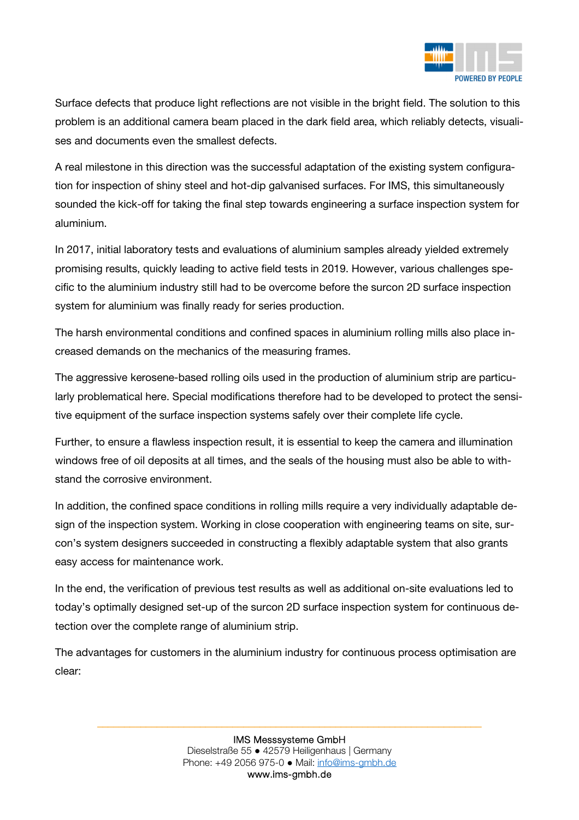

Surface defects that produce light reflections are not visible in the bright field. The solution to this problem is an additional camera beam placed in the dark field area, which reliably detects, visualises and documents even the smallest defects.

A real milestone in this direction was the successful adaptation of the existing system configuration for inspection of shiny steel and hot-dip galvanised surfaces. For IMS, this simultaneously sounded the kick-off for taking the final step towards engineering a surface inspection system for aluminium.

In 2017, initial laboratory tests and evaluations of aluminium samples already yielded extremely promising results, quickly leading to active field tests in 2019. However, various challenges specific to the aluminium industry still had to be overcome before the surcon 2D surface inspection system for aluminium was finally ready for series production.

The harsh environmental conditions and confined spaces in aluminium rolling mills also place increased demands on the mechanics of the measuring frames.

The aggressive kerosene-based rolling oils used in the production of aluminium strip are particularly problematical here. Special modifications therefore had to be developed to protect the sensitive equipment of the surface inspection systems safely over their complete life cycle.

Further, to ensure a flawless inspection result, it is essential to keep the camera and illumination windows free of oil deposits at all times, and the seals of the housing must also be able to withstand the corrosive environment.

In addition, the confined space conditions in rolling mills require a very individually adaptable design of the inspection system. Working in close cooperation with engineering teams on site, surcon's system designers succeeded in constructing a flexibly adaptable system that also grants easy access for maintenance work.

In the end, the verification of previous test results as well as additional on-site evaluations led to today's optimally designed set-up of the surcon 2D surface inspection system for continuous detection over the complete range of aluminium strip.

The advantages for customers in the aluminium industry for continuous process optimisation are clear: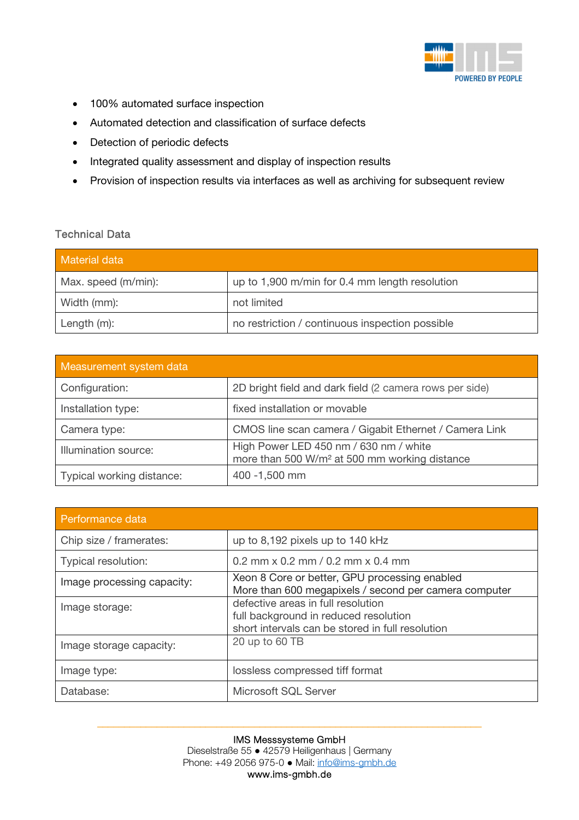

- 100% automated surface inspection
- Automated detection and classification of surface defects
- Detection of periodic defects
- Integrated quality assessment and display of inspection results
- Provision of inspection results via interfaces as well as archiving for subsequent review

## Technical Data

| <b>Material data</b> |                                                 |
|----------------------|-------------------------------------------------|
| Max. speed (m/min):  | up to 1,900 m/min for 0.4 mm length resolution  |
| Width (mm):          | not limited                                     |
| Length (m):          | no restriction / continuous inspection possible |

| Measurement system data   |                                                                                                     |
|---------------------------|-----------------------------------------------------------------------------------------------------|
| Configuration:            | 2D bright field and dark field (2 camera rows per side)                                             |
| Installation type:        | fixed installation or movable                                                                       |
| Camera type:              | CMOS line scan camera / Gigabit Ethernet / Camera Link                                              |
| Illumination source:      | High Power LED 450 nm / 630 nm / white<br>more than 500 W/m <sup>2</sup> at 500 mm working distance |
| Typical working distance: | 400 -1,500 mm                                                                                       |

| Performance data           |                                                                                                                                 |
|----------------------------|---------------------------------------------------------------------------------------------------------------------------------|
| Chip size / framerates:    | up to 8,192 pixels up to 140 kHz                                                                                                |
| Typical resolution:        | 0.2 mm $\times$ 0.2 mm $/$ 0.2 mm $\times$ 0.4 mm                                                                               |
| Image processing capacity: | Xeon 8 Core or better, GPU processing enabled<br>More than 600 megapixels / second per camera computer                          |
| Image storage:             | defective areas in full resolution<br>full background in reduced resolution<br>short intervals can be stored in full resolution |
| Image storage capacity:    | 20 up to 60 TB                                                                                                                  |
| Image type:                | lossless compressed tiff format                                                                                                 |
| Database:                  | Microsoft SQL Server                                                                                                            |